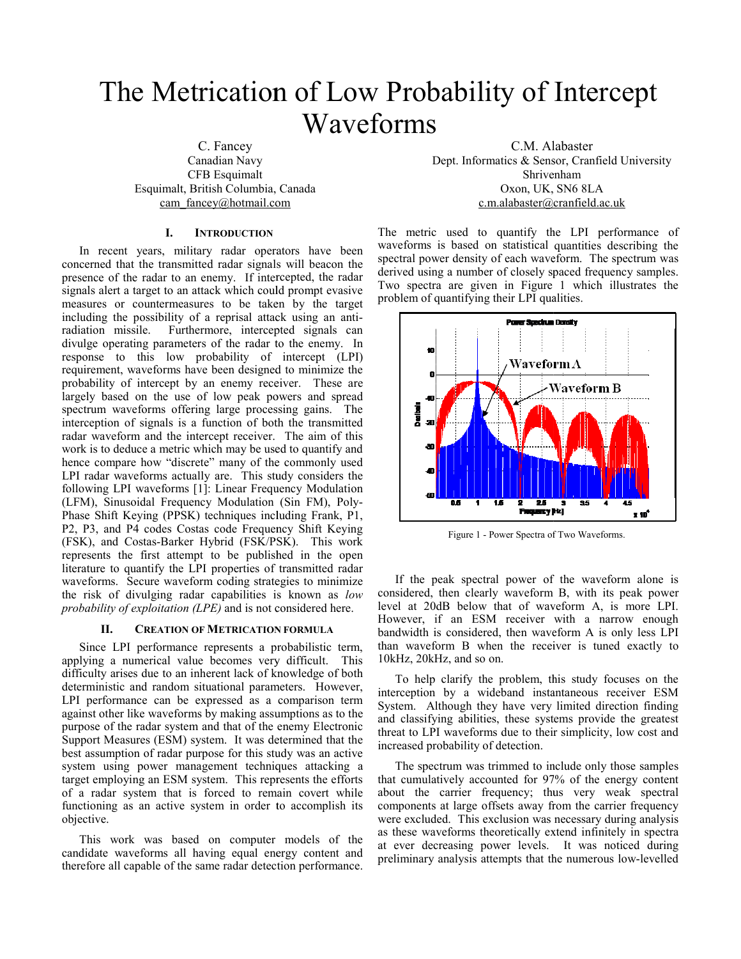# The Metrication of Low Probability of Intercept Waveforms

 C. Fancey Canadian Navy CFB Esquimalt Esquimalt, British Columbia, cam fancey@hotmail.com

# **I. INTRODUCTION**

In recent years, military radar operators have been concerned that the transmitted radar signal s will beacon the presence of the radar to an enemy. If intercepted, the radar signals alert a target to an attack which could prompt evasive measures or countermeasures to be taken by the target including the possibility of a reprisal attack using an antiradiation missile. Furthermore, intercepted signals can divulge operating parameters of the radar to the enemy. In response to this low probability of intercept (LPI) requirement, waveforms have been designed to minimize the probability of intercept by an enemy receiver. These are largely based on the use of low peak powers and spread spectrum waveforms offering large processing gains. The interception of signals is a function of both the transmitted radar waveform and the intercept receiver. The aim of this work is to deduce a metric which may be used to quantify and hence compare how "discrete" many of the commonly used LPI radar waveforms actually are. This study considers the following LPI waveforms [1]: Linear Frequency Modulation (LFM), Sinusoidal Frequency Modulation (Sin FM), Poly-Phase Shift Keying (PPSK) techniques including Frank, P1, P2, P3, and P4 codes Costas code Frequency Shift Keying (FSK), and Costas-Barker Hybrid (FSK/P SK). This work represents the first attempt to be publish hed in the open literature to quantify the LPI properties of transmitted radar waveforms. Secure waveform coding strategies to minimize the risk of divulging radar capabilities i s known as *low*  probability of exploitation (LPE) and is not considered here.

#### **II. CREATION OF METRICATION FORMULA**

Since LPI performance represents a p robabilistic term, applying a numerical value becomes very difficult. This difficulty arises due to an inherent lack of knowledge of both deterministic and random situational parameters. However, LPI performance can be expressed as a comparison term against other like waveforms by making assumptions as to the purpose of the radar system and that of the enemy Electronic Support Measures (ESM) system. It was determined that the best assumption of radar purpose for this study was an active system using power management techniques attacking a target employing an ESM system. This represents the efforts of a radar system that is forced to remain covert while functioning as an active system in order to accomplish its objective.

This work was based on computer models of the candidate waveforms all having equal energy content and therefore all capable of the same radar detec tion performance.

C.M. Al labaster Dept. Informatics & Sensor, Cranfield University Shrivenham Canada Oxon, UK, SN6 8LA om c.m.alabaster@ cranfield.ac.uk

> The metric used to quantify the LPI performance of waveforms is based on statistical quantities describing the spectral power density of each waveform. The spectrum was derived using a number of closely spaced frequency samples. Two spectra are given in Figure 1 which illustrates the problem of quantifying their LPI qualities.



Figure 1 - Power Spectra of Two Waveforms.

If the peak spectral power of the waveform alone is considered, then clearly waveform B, with its peak power level at 20dB below that of waveform A, is more LPI. However, if an ESM receiver with a narrow enough bandwidth is considered, then waveform A is only less LPI than waveform B when the receiver is tuned exactly to 10kHz, 20kHz, and so on.

To help clarify the problem, th his study focuses on the interception by a wideband instantaneous receiver ESM System. Although they have very limited direction finding and classifying abilities, these systems provide the greatest threat to LPI waveforms due to thei r simplicity, low cost and increased probability of detection.

The spectrum was trimmed to include only those samples that cumulatively accounted for 97 7% of the energy content about the carrier frequency; thus very weak spectral components at large offsets away from the carrier frequency were excluded. This exclusion was necessary during analysis as these waveforms theoretically extend infinitely in spectra at ever decreasing power levels. It was noticed during preliminary analysis attempts that th he numerous low-levelled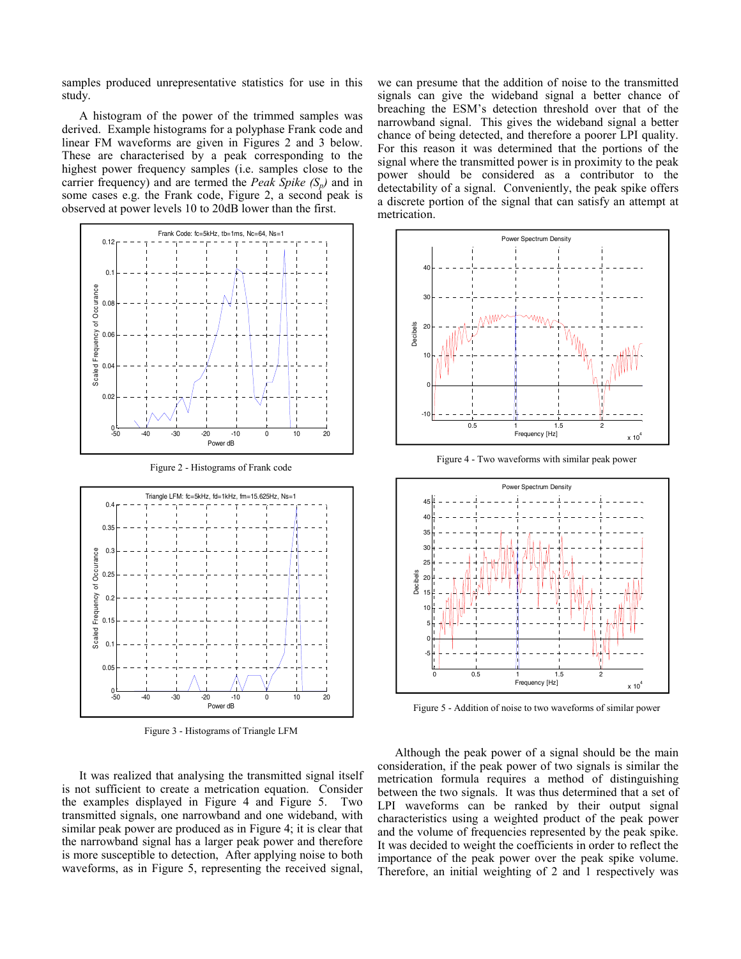samples produced unrepresentative statistics for use in this study.

A histogram of the power of the trimmed samples was derived. Example histograms for a polyphase Frank code and linear FM waveforms are given in Figures 2 and 3 below. These are characterised by a peak corresponding to the highest power frequency samples (i.e. samples close to the carrier frequency) and are termed the *Peak Spike*  $(S_n)$  and in some cases e.g. the Frank code, Figure 2, a second peak is observed at power levels 10 to 20dB lower than the first.



Figure 2 - Histograms of Frank code



Figure 3 - Histograms of Triangle LFM

It was realized that analysing the transmitted signal itself is not sufficient to create a metrication equation. Consider the examples displayed in Figure 4 and Figure 5. Two transmitted signals, one narrowband and one wideband, with similar peak power are produced as in Figure 4; it is clear that the narrowband signal has a larger peak power and therefore is more susceptible to detection, After applying noise to both waveforms, as in Figure 5, representing the received signal,

we can presume that the addition of noise to the transmitted signals can give the wideband signal a better chance of breaching the ESM's detection threshold over that of the narrowband signal. This gives the wideband signal a better chance of being detected, and therefore a poorer LPI quality. For this reason it was determined that the portions of the signal where the transmitted power is in proximity to the peak power should be considered as a contributor to the detectability of a signal. Conveniently, the peak spike offers a discrete portion of the signal that can satisfy an attempt at metrication.



Figure 4 - Two waveforms with similar peak power



Figure 5 - Addition of noise to two waveforms of similar power

Although the peak power of a signal should be the main consideration, if the peak power of two signals is similar the metrication formula requires a method of distinguishing between the two signals. It was thus determined that a set of LPI waveforms can be ranked by their output signal characteristics using a weighted product of the peak power and the volume of frequencies represented by the peak spike. It was decided to weight the coefficients in order to reflect the importance of the peak power over the peak spike volume. Therefore, an initial weighting of 2 and 1 respectively was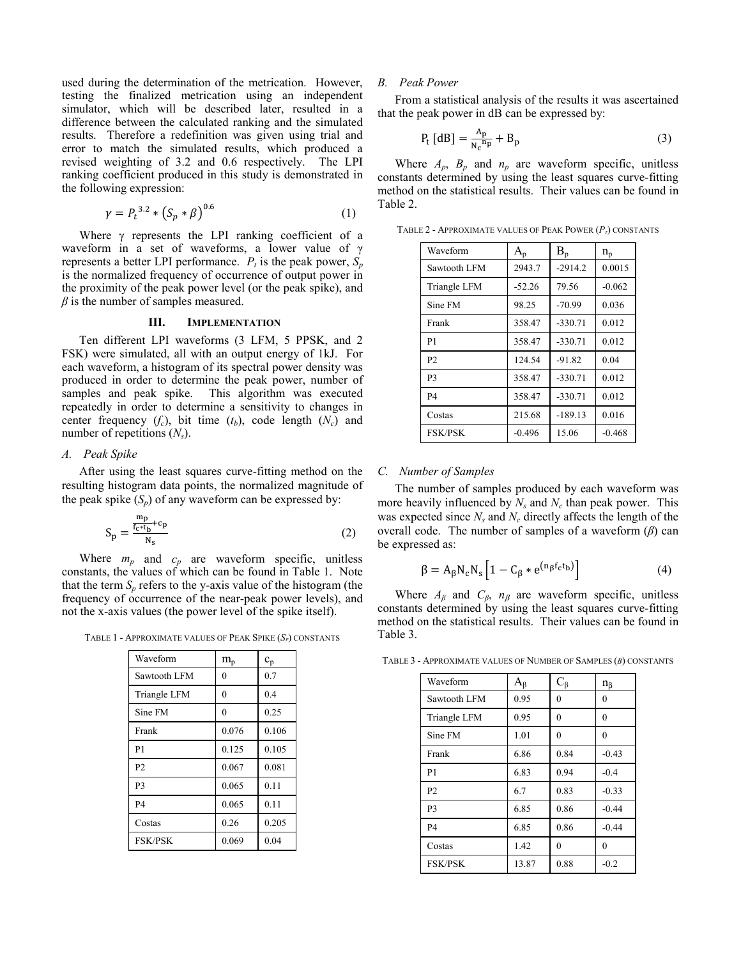used during the determination of the metrication. However, testing the finalized metrication using an independent simulator, which will be described later, resulted in a difference between the calculated ranking and the simulated results. Therefore a redefinition was given using trial and error to match the simulated results, which produced a revised weighting of 3.2 and 0.6 respectively. The LPI ranking coefficient produced in this study is demonstrated in the following expression:

$$
\gamma = P_t^{3.2} * (S_p * \beta)^{0.6}
$$
 (1)

Where γ represents the LPI ranking coefficient of a waveform in a set of waveforms, a lower value of γ represents a better LPI performance.  $P_t$  is the peak power,  $S_p$ is the normalized frequency of occurrence of output power in the proximity of the peak power level (or the peak spike), and  $\beta$  is the number of samples measured.

#### **III. IMPLEMENTATION**

Ten different LPI waveforms (3 LFM, 5 PPSK, and 2 FSK) were simulated, all with an output energy of 1kJ. For each waveform, a histogram of its spectral power density was produced in order to determine the peak power, number of samples and peak spike. This algorithm was executed repeatedly in order to determine a sensitivity to changes in center frequency  $(f_c)$ , bit time  $(t_b)$ , code length  $(N_c)$  and number of repetitions  $(N_s)$ .

# *A. Peak Spike*

After using the least squares curve-fitting method on the resulting histogram data points, the normalized magnitude of the peak spike  $(S_n)$  of any waveform can be expressed by:

$$
S_p = \frac{\frac{m_p}{f_c * t_b} + c_p}{N_s} \tag{2}
$$

Where  $m_p$  and  $c_p$  are waveform specific, unitless constants, the values of which can be found in Table 1. Note that the term  $S_p$  refers to the y-axis value of the histogram (the frequency of occurrence of the near-peak power levels), and not the x-axis values (the power level of the spike itself).

TABLE 1 - APPROXIMATE VALUES OF PEAK SPIKE (*SP*) CONSTANTS

| Waveform       | $m_{\rm p}$ | $c_{p}$ |
|----------------|-------------|---------|
| Sawtooth LFM   | $\theta$    | 0.7     |
| Triangle LFM   | $\theta$    | 0.4     |
| Sine FM        | $\theta$    | 0.25    |
| Frank          | 0.076       | 0.106   |
| P <sub>1</sub> | 0.125       | 0.105   |
| P <sub>2</sub> | 0.067       | 0.081   |
| P <sub>3</sub> | 0.065       | 0.11    |
| <b>P4</b>      | 0.065       | 0.11    |
| Costas         | 0.26        | 0.205   |
| <b>FSK/PSK</b> | 0.069       | 0.04    |

#### *B. Peak Power*

From a statistical analysis of the results it was ascertained that the peak power in dB can be expressed by:

$$
P_t [dB] = \frac{A_p}{N_c^{np}} + B_p \tag{3}
$$

Where  $A_p$ ,  $B_p$  and  $n_p$  are waveform specific, unitless constants determined by using the least squares curve-fitting method on the statistical results. Their values can be found in Table 2.

TABLE 2 - APPROXIMATE VALUES OF PEAK POWER  $(P_T)$  CONSTANTS

| Waveform       | $A_{p}$  | $B_n$     | $n_{p}$  |
|----------------|----------|-----------|----------|
| Sawtooth LFM   | 2943.7   | $-2914.2$ | 0.0015   |
| Triangle LFM   | $-52.26$ | 79.56     | $-0.062$ |
| Sine FM        | 98.25    | $-70.99$  | 0.036    |
| Frank          | 358.47   | $-330.71$ | 0.012    |
| P <sub>1</sub> | 358.47   | $-330.71$ | 0.012    |
| P <sub>2</sub> | 124.54   | $-91.82$  | 0.04     |
| P <sub>3</sub> | 358.47   | $-330.71$ | 0.012    |
| <b>P4</b>      | 358.47   | $-330.71$ | 0.012    |
| Costas         | 215.68   | $-189.13$ | 0.016    |
| <b>FSK/PSK</b> | $-0.496$ | 15.06     | $-0.468$ |

## *C. Number of Samples*

The number of samples produced by each waveform was more heavily influenced by  $N_s$  and  $N_c$  than peak power. This was expected since  $N_s$  and  $N_c$  directly affects the length of the overall code. The number of samples of a waveform (*β*) can be expressed as:

$$
\beta = A_{\beta} N_{\rm c} N_{\rm s} \left[ 1 - C_{\beta} * e^{(n_{\beta} f_{\rm c} t_{\rm b})} \right]
$$
 (4)

Where  $A_\beta$  and  $C_\beta$ ,  $n_\beta$  are waveform specific, unitless constants determined by using the least squares curve-fitting method on the statistical results. Their values can be found in Table 3.

TABLE 3 - APPROXIMATE VALUES OF NUMBER OF SAMPLES (*Β*) CONSTANTS

| Waveform       | $A_{\beta}$ | $C_{\beta}$ | $n_{\beta}$ |
|----------------|-------------|-------------|-------------|
| Sawtooth LFM   | 0.95        | $\theta$    | 0           |
| Triangle LFM   | 0.95        | $\theta$    | $\theta$    |
| Sine FM        | 1.01        | $\theta$    | $\theta$    |
| Frank          | 6.86        | 0.84        | $-0.43$     |
| P <sub>1</sub> | 6.83        | 0.94        | $-0.4$      |
| P <sub>2</sub> | 6.7         | 0.83        | $-0.33$     |
| P <sub>3</sub> | 6.85        | 0.86        | $-0.44$     |
| <b>P4</b>      | 6.85        | 0.86        | $-0.44$     |
| Costas         | 1.42        | $\theta$    | $\theta$    |
| <b>FSK/PSK</b> | 13.87       | 0.88        | $-0.2$      |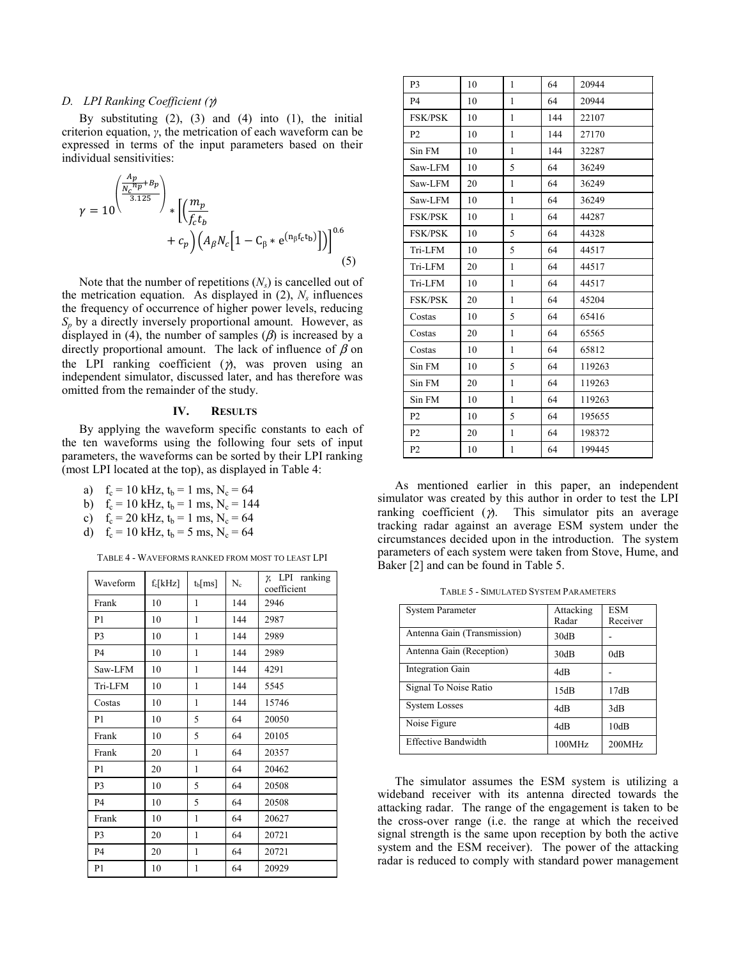# *D. LPI Ranking Coefficient (*γ*)*

By substituting  $(2)$ ,  $(3)$  and  $(4)$  into  $(1)$ , the initial criterion equation, *γ*, the metrication of each waveform can be expressed in terms of the input parameters based on their individual sensitivities:

$$
\gamma = 10 \left( \frac{\frac{A_p}{N_c} n_p + B_p}{3.125} \right)_* \left[ \left( \frac{m_p}{f_c t_b} + c_p \right) \left( A_\beta N_c \left[ 1 - C_\beta * e^{(n_\beta f_c t_b)} \right] \right) \right]^{0.6}
$$
\n
$$
(5)
$$

Note that the number of repetitions  $(N_s)$  is cancelled out of the metrication equation. As displayed in  $(2)$ ,  $N_s$  influences the frequency of occurrence of higher power levels, reducing  $S_p$  by a directly inversely proportional amount. However, as displayed in (4), the number of samples  $(\beta)$  is increased by a directly proportional amount. The lack of influence of  $\beta$  on the LPI ranking coefficient  $(y)$ , was proven using an independent simulator, discussed later, and has therefore was omitted from the remainder of the study.

## **IV. RESULTS**

By applying the waveform specific constants to each of the ten waveforms using the following four sets of input parameters, the waveforms can be sorted by their LPI ranking (most LPI located at the top), as displayed in Table 4:

- a)  $f_c = 10 \text{ kHz}, t_b = 1 \text{ ms}, N_c = 64$
- b)  $f_c = 10 \text{ kHz}, t_b = 1 \text{ ms}, N_c = 144$
- c)  $f_c = 20 \text{ kHz}, t_b = 1 \text{ ms}, N_c = 64$
- d)  $f_c = 10$  kHz,  $t_b = 5$  ms,  $N_c = 64$

TABLE 4 - WAVEFORMS RANKED FROM MOST TO LEAST LPI

| Waveform       | $f_c[kHz]$ | $t_b$ [ms] | $N_c$ | $\chi$ LPI ranking<br>coefficient |
|----------------|------------|------------|-------|-----------------------------------|
| Frank          | 10         | 1          | 144   | 2946                              |
| P <sub>1</sub> | 10         | 1          | 144   | 2987                              |
| P <sub>3</sub> | 10         | 1          | 144   | 2989                              |
| <b>P4</b>      | 10         | 1          | 144   | 2989                              |
| Saw-LFM        | 10         | 1          | 144   | 4291                              |
| Tri-LFM        | 10         | 1          | 144   | 5545                              |
| Costas         | 10         | 1          | 144   | 15746                             |
| P <sub>1</sub> | 10         | 5          | 64    | 20050                             |
| Frank          | 10         | 5          | 64    | 20105                             |
| Frank          | 20         | 1          | 64    | 20357                             |
| P <sub>1</sub> | 20         | 1          | 64    | 20462                             |
| P <sub>3</sub> | 10         | 5          | 64    | 20508                             |
| <b>P4</b>      | 10         | 5          | 64    | 20508                             |
| Frank          | 10         | 1          | 64    | 20627                             |
| P3             | 20         | 1          | 64    | 20721                             |
| <b>P4</b>      | 20         | 1          | 64    | 20721                             |
| P <sub>1</sub> | 10         | 1          | 64    | 20929                             |

| P <sub>3</sub> | 10 | 1            | 64  | 20944  |
|----------------|----|--------------|-----|--------|
| <b>P4</b>      | 10 | $\mathbf{1}$ | 64  | 20944  |
| <b>FSK/PSK</b> | 10 | $\mathbf{1}$ | 144 | 22107  |
| P <sub>2</sub> | 10 | 1            | 144 | 27170  |
| Sin FM         | 10 | 1            | 144 | 32287  |
| Saw-LFM        | 10 | 5            | 64  | 36249  |
| Saw-LFM        | 20 | 1            | 64  | 36249  |
| Saw-LFM        | 10 | 1            | 64  | 36249  |
| <b>FSK/PSK</b> | 10 | 1            | 64  | 44287  |
| <b>FSK/PSK</b> | 10 | 5            | 64  | 44328  |
| Tri-LFM        | 10 | 5            | 64  | 44517  |
| Tri-LFM        | 20 | 1            | 64  | 44517  |
| Tri-LFM        | 10 | 1            | 64  | 44517  |
| <b>FSK/PSK</b> | 20 | $\mathbf{1}$ | 64  | 45204  |
| Costas         | 10 | 5            | 64  | 65416  |
| Costas         | 20 | 1            | 64  | 65565  |
| Costas         | 10 | $\mathbf{1}$ | 64  | 65812  |
| Sin FM         | 10 | 5            | 64  | 119263 |
| Sin FM         | 20 | 1            | 64  | 119263 |
| Sin FM         | 10 | 1            | 64  | 119263 |
| P <sub>2</sub> | 10 | 5            | 64  | 195655 |
| P <sub>2</sub> | 20 | 1            | 64  | 198372 |
| P <sub>2</sub> | 10 | $\mathbf{1}$ | 64  | 199445 |

As mentioned earlier in this paper, an independent simulator was created by this author in order to test the LPI ranking coefficient  $(y)$ . This simulator pits an average tracking radar against an average ESM system under the circumstances decided upon in the introduction. The system parameters of each system were taken from Stove, Hume, and Baker [2] and can be found in Table 5.

TABLE 5 - SIMULATED SYSTEM PARAMETERS

| <b>System Parameter</b>     | Attacking       | <b>ESM</b> |
|-----------------------------|-----------------|------------|
|                             | Radar           | Receiver   |
| Antenna Gain (Transmission) | 30dB            |            |
| Antenna Gain (Reception)    | 30dB            | 0dB        |
| Integration Gain            | 4dB             |            |
| Signal To Noise Ratio       | 15dB            | 17dB       |
| <b>System Losses</b>        | 4d <sub>B</sub> | 3dB        |
| Noise Figure                | 4dB             | 10dB       |
| Effective Bandwidth         | 100MHz          | 200MHz     |

The simulator assumes the ESM system is utilizing a wideband receiver with its antenna directed towards the attacking radar. The range of the engagement is taken to be the cross-over range (i.e. the range at which the received signal strength is the same upon reception by both the active system and the ESM receiver). The power of the attacking radar is reduced to comply with standard power management